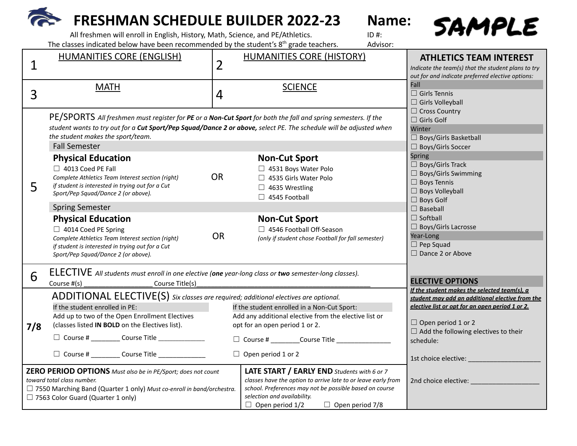# **FRESHMAN SCHEDULE BUILDER 2022-23 Name:**



All freshmen will enroll in English, History, Math, Science, and PE/Athletics. The classes indicated below have been recommended by the student's  $8<sup>th</sup>$  grade teachers. Advisor:

|                                                                                                                                                                                                                               | <b>HUMANITIES CORE (ENGLISH)</b>                                                                                                                                                                                                                                                                                                          |                | <b>HUMANITIES CORE (HISTORY)</b>                                                                                                                                                                                                                           | <b>ATHLETICS TEAM INTEREST</b>                                                                                                                                                                                                                                        |  |
|-------------------------------------------------------------------------------------------------------------------------------------------------------------------------------------------------------------------------------|-------------------------------------------------------------------------------------------------------------------------------------------------------------------------------------------------------------------------------------------------------------------------------------------------------------------------------------------|----------------|------------------------------------------------------------------------------------------------------------------------------------------------------------------------------------------------------------------------------------------------------------|-----------------------------------------------------------------------------------------------------------------------------------------------------------------------------------------------------------------------------------------------------------------------|--|
| $\mathbf 1$                                                                                                                                                                                                                   |                                                                                                                                                                                                                                                                                                                                           | 2              |                                                                                                                                                                                                                                                            | Indicate the team(s) that the student plans to try<br>out for and indicate preferred elective options:                                                                                                                                                                |  |
| 3                                                                                                                                                                                                                             | <b>MATH</b>                                                                                                                                                                                                                                                                                                                               | $\overline{4}$ | <b>SCIENCE</b>                                                                                                                                                                                                                                             | Fall<br>$\Box$ Girls Tennis<br>$\Box$ Girls Volleyball                                                                                                                                                                                                                |  |
|                                                                                                                                                                                                                               | PE/SPORTS All freshmen must register for PE or a Non-Cut Sport for both the fall and spring semesters. If the<br>student wants to try out for a Cut Sport/Pep Squad/Dance 2 or above, select PE. The schedule will be adjusted when<br>the student makes the sport/team.<br><b>Fall Semester</b>                                          |                |                                                                                                                                                                                                                                                            | $\Box$ Cross Country<br>$\Box$ Girls Golf<br>Winter<br>$\Box$ Boys/Girls Basketball<br>□ Boys/Girls Soccer                                                                                                                                                            |  |
| 5                                                                                                                                                                                                                             | <b>Physical Education</b><br>4013 Coed PE Fall<br>Complete Athletics Team Interest section (right)<br>if student is interested in trying out for a Cut<br>Sport/Pep Squad/Dance 2 (or above).                                                                                                                                             | <b>OR</b>      | <b>Non-Cut Sport</b><br>□ 4531 Boys Water Polo<br>□ 4535 Girls Water Polo<br>$\Box$ 4635 Wrestling<br>$\Box$ 4545 Football                                                                                                                                 | <b>Spring</b><br>$\Box$ Boys/Girls Track<br>$\Box$ Boys/Girls Swimming<br>$\Box$ Boys Tennis<br>$\Box$ Boys Volleyball<br>$\Box$ Boys Golf<br>$\Box$ Baseball<br>$\Box$ Softball<br>$\Box$ Boys/Girls Lacrosse<br>Year-Long<br>$\Box$ Pep Squad<br>□ Dance 2 or Above |  |
|                                                                                                                                                                                                                               | <b>Spring Semester</b><br><b>Physical Education</b><br>$\Box$ 4014 Coed PE Spring<br>Complete Athletics Team Interest section (right)<br>if student is interested in trying out for a Cut<br>Sport/Pep Squad/Dance 2 (or above).                                                                                                          | <b>OR</b>      | <b>Non-Cut Sport</b><br>□ 4546 Football Off-Season<br>(only if student chose Football for fall semester)                                                                                                                                                   |                                                                                                                                                                                                                                                                       |  |
| 6                                                                                                                                                                                                                             | ELECTIVE All students must enroll in one elective (one year-long class or two semester-long classes).<br>Course #(s)<br>Course Title(s)                                                                                                                                                                                                   |                |                                                                                                                                                                                                                                                            | <b>ELECTIVE OPTIONS</b>                                                                                                                                                                                                                                               |  |
| 7/8                                                                                                                                                                                                                           | ADDITIONAL ELECTIVE(S) Six classes are required; additional electives are optional.<br>If the student enrolled in PE:<br>Add up to two of the Open Enrollment Electives<br>(classes listed IN BOLD on the Electives list).<br>$\Box$ Course # __________ Course Title _______________<br>□ Course # _________ Course Title ______________ |                | If the student enrolled in a Non-Cut Sport:<br>Add any additional elective from the elective list or<br>opt for an open period 1 or 2.<br>$\Box$ Open period 1 or 2                                                                                        | If the student makes the selected team(s), a<br>student may add an additional elective from the<br>elective list or opt for an open period 1 or 2.<br>$\Box$ Open period 1 or 2<br>$\Box$ Add the following electives to their<br>schedule:                           |  |
| <b>ZERO PERIOD OPTIONS</b> Must also be in PE/Sport; does not count<br>toward total class number.<br>$\Box$ 7550 Marching Band (Quarter 1 only) Must co-enroll in band/orchestra.<br>$\Box$ 7563 Color Guard (Quarter 1 only) |                                                                                                                                                                                                                                                                                                                                           |                | LATE START / EARLY END Students with 6 or 7<br>classes have the option to arrive late to or leave early from<br>school. Preferences may not be possible based on course<br>selection and availability.<br>$\Box$ Open period 1/2<br>$\Box$ Open period 7/8 | 2nd choice elective: ______                                                                                                                                                                                                                                           |  |